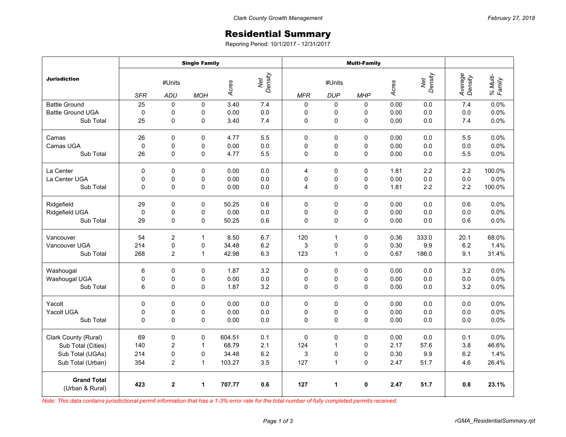## Residential Summary

Reporing Period: 10/1/2017 - 12/31/2017

|                                       | <b>Single Family</b> |                |                |                         |     | <b>Multi-Family</b> |              |             |       |                |                    |                    |
|---------------------------------------|----------------------|----------------|----------------|-------------------------|-----|---------------------|--------------|-------------|-------|----------------|--------------------|--------------------|
| <b>Jurisdiction</b>                   | #Units               |                |                | Net<br>Density<br>Acres |     | #Units              |              |             | Acres | Net<br>Density | Average<br>Density | % Multi-<br>Family |
|                                       | <b>SFR</b>           | ADU            | <b>MOH</b>     |                         |     | <b>MFR</b>          | <b>DUP</b>   | <b>MHP</b>  |       |                |                    |                    |
| <b>Battle Ground</b>                  | 25                   | 0              | $\Omega$       | 3.40                    | 7.4 | 0                   | 0            | 0           | 0.00  | 0.0            | 7.4                | 0.0%               |
| <b>Battle Ground UGA</b>              | $\pmb{0}$            | 0              | 0              | 0.00                    | 0.0 | 0                   | 0            | 0           | 0.00  | 0.0            | 0.0                | 0.0%               |
| Sub Total                             | 25                   | 0              | $\overline{0}$ | 3.40                    | 7.4 | 0                   | 0            | $\Omega$    | 0.00  | 0.0            | 7.4                | 0.0%               |
| Camas                                 | 26                   | 0              | 0              | 4.77                    | 5.5 | 0                   | 0            | $\Omega$    | 0.00  | 0.0            | 5.5                | 0.0%               |
| Camas UGA                             | $\mathbf 0$          | $\mathbf 0$    | 0              | 0.00                    | 0.0 | 0                   | 0            | 0           | 0.00  | 0.0            | 0.0                | 0.0%               |
| Sub Total                             | 26                   | $\Omega$       | 0              | 4.77                    | 5.5 | $\Omega$            | $\mathbf 0$  | 0           | 0.00  | 0.0            | 5.5                | 0.0%               |
| La Center                             | $\mathbf 0$          | $\Omega$       | $\Omega$       | 0.00                    | 0.0 | 4                   | $\pmb{0}$    | $\Omega$    | 1.81  | 2.2            | 2.2                | 100.0%             |
| La Center UGA                         | 0                    | 0              | 0              | 0.00                    | 0.0 | 0                   | 0            | 0           | 0.00  | 0.0            | 0.0                | 0.0%               |
| Sub Total                             | 0                    | 0              | 0              | 0.00                    | 0.0 | 4                   | $\pmb{0}$    | 0           | 1.81  | 2.2            | 2.2                | 100.0%             |
| Ridgefield                            | 29                   | 0              | $\mathbf 0$    | 50.25                   | 0.6 | $\Omega$            | $\mathbf 0$  | 0           | 0.00  | 0.0            | 0.6                | 0.0%               |
| Ridgefield UGA                        | 0                    | 0              | 0              | 0.00                    | 0.0 | 0                   | 0            | 0           | 0.00  | 0.0            | 0.0                | 0.0%               |
| Sub Total                             | 29                   | 0              | 0              | 50.25                   | 0.6 | 0                   | 0            | $\mathbf 0$ | 0.00  | 0.0            | 0.6                | 0.0%               |
| Vancouver                             | 54                   | $\overline{c}$ | 1              | 8.50                    | 6.7 | 120                 | 1            | 0           | 0.36  | 333.0          | 20.1               | 68.0%              |
| Vancouver UGA                         | 214                  | 0              | 0              | 34.48                   | 6.2 | 3                   | 0            | 0           | 0.30  | 9.9            | 6.2                | 1.4%               |
| Sub Total                             | 268                  | 2              | $\mathbf{1}$   | 42.98                   | 6.3 | 123                 | $\mathbf{1}$ | 0           | 0.67  | 186.0          | 9.1                | 31.4%              |
| Washougal                             | 6                    | 0              | 0              | 1.87                    | 3.2 | $\mathbf 0$         | $\mathbf 0$  | 0           | 0.00  | 0.0            | 3.2                | 0.0%               |
| Washougal UGA                         | 0                    | 0              | 0              | 0.00                    | 0.0 | 0                   | 0            | 0           | 0.00  | 0.0            | 0.0                | 0.0%               |
| Sub Total                             | 6                    | 0              | 0              | 1.87                    | 3.2 | 0                   | $\mathbf 0$  | 0           | 0.00  | 0.0            | 3.2                | 0.0%               |
| Yacolt                                | 0                    | 0              | 0              | 0.00                    | 0.0 | 0                   | 0            | 0           | 0.00  | 0.0            | 0.0                | 0.0%               |
| Yacolt UGA                            | $\mathbf 0$          | $\mathbf 0$    | 0              | 0.00                    | 0.0 | $\mathbf 0$         | 0            | 0           | 0.00  | 0.0            | 0.0                | 0.0%               |
| Sub Total                             | 0                    | 0              | 0              | 0.00                    | 0.0 | 0                   | 0            | 0           | 0.00  | 0.0            | 0.0                | 0.0%               |
| Clark County (Rural)                  | 69                   | 0              | $\mathbf 0$    | 604.51                  | 0.1 | $\mathbf 0$         | $\mathbf 0$  | 0           | 0.00  | 0.0            | 0.1                | 0.0%               |
| Sub Total (Cities)                    | 140                  | 2              | 1              | 68.79                   | 2.1 | 124                 | 1            | $\Omega$    | 2.17  | 57.6           | 3.8                | 46.6%              |
| Sub Total (UGAs)                      | 214                  | 0              | 0              | 34.48                   | 6.2 | 3                   | 0            | 0           | 0.30  | 9.9            | 6.2                | 1.4%               |
| Sub Total (Urban)                     | 354                  | $\overline{2}$ | $\mathbf{1}$   | 103.27                  | 3.5 | 127                 | $\mathbf{1}$ | 0           | 2.47  | 51.7           | 4.6                | 26.4%              |
| <b>Grand Total</b><br>(Urban & Rural) | 423                  | $\mathbf{2}$   | 1              | 707.77                  | 0.6 | 127                 | 1            | 0           | 2.47  | 51.7           | 0.8                | 23.1%              |

*Note: This data contains jurisdictional permit information that has a 1-3% error rate for the total number of fully completed permits received.*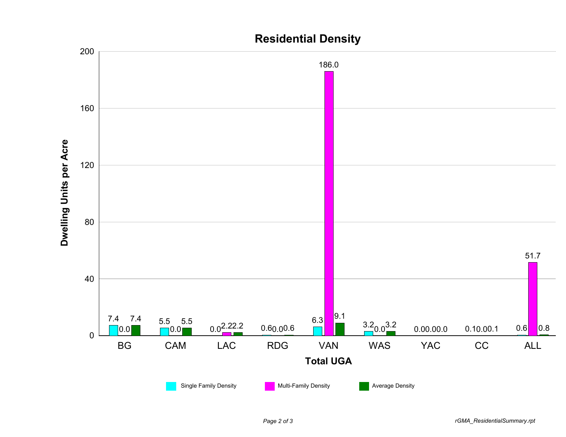